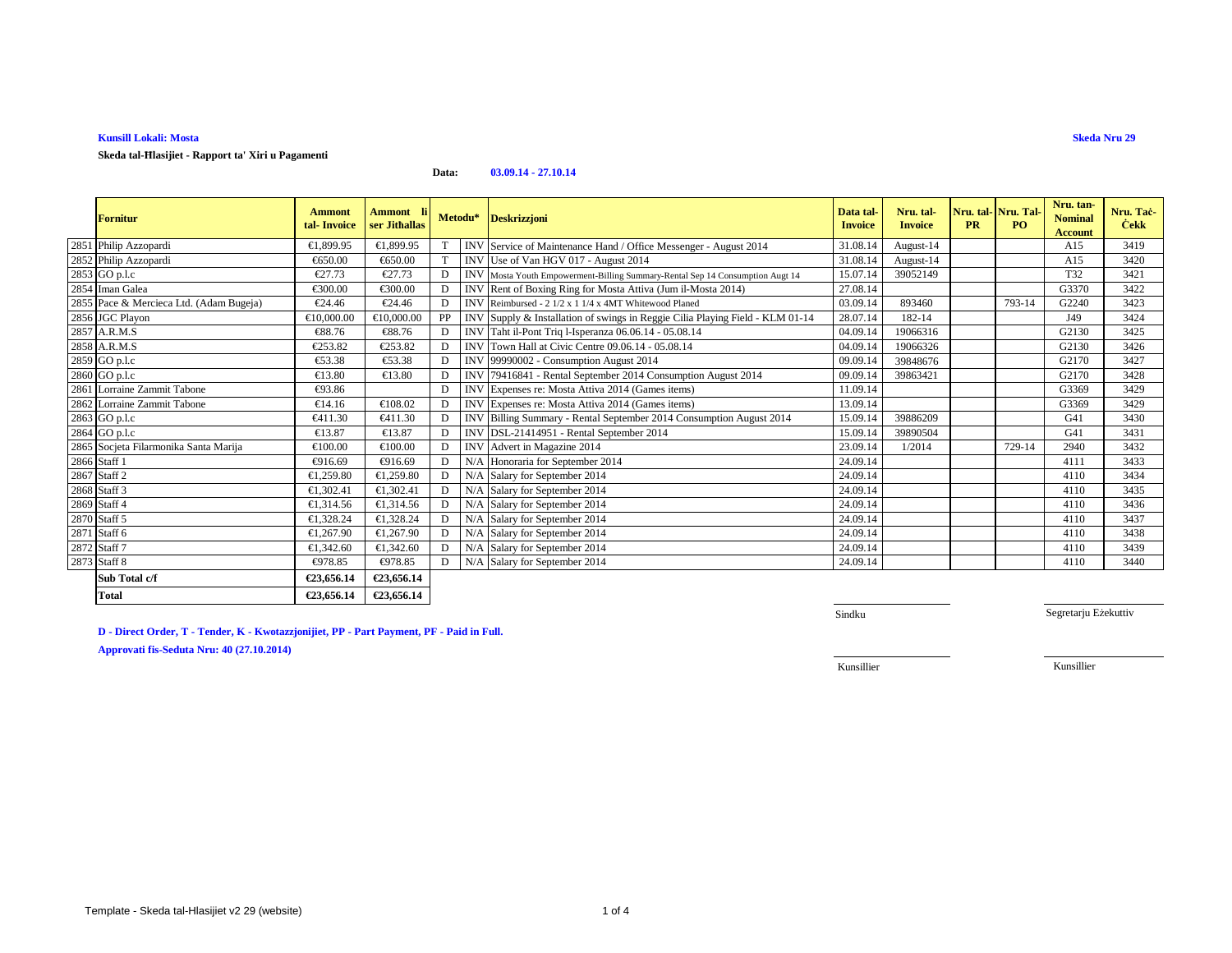# **Kunsill Lokali: Mosta**

**Skeda tal-Ħlasijiet - Rapport ta' Xiri u Pagamenti**

## **Data:03.09.14 - 27.10.14**

| <b>Fornitur</b>                         | <b>Ammont</b><br>tal-Invoice | <b>Ammont</b> li<br>ser Jithallas |    | Metodu*    | <b>Deskrizzjoni</b>                                                           | Data tal-<br><b>Invoice</b> | Nru. tal-<br><b>Invoice</b> | Nru. tal-<br><b>PR</b> | Nru. Tal-<br>P <sub>O</sub> | Nru. tan-<br><b>Nominal</b><br><b>Account</b> | Nru. Tac-<br><b>Cekk</b> |
|-----------------------------------------|------------------------------|-----------------------------------|----|------------|-------------------------------------------------------------------------------|-----------------------------|-----------------------------|------------------------|-----------------------------|-----------------------------------------------|--------------------------|
| 2851 Philip Azzopardi                   | €1.899.95                    | €1,899.95                         |    |            | INV Service of Maintenance Hand / Office Messenger - August 2014              | 31.08.14                    | August-14                   |                        |                             | A15                                           | 3419                     |
| 2852 Philip Azzopardi                   | €650.00                      | €650.00                           |    |            | INVUse of Van HGV 017 - August 2014                                           | 31.08.14                    | August-14                   |                        |                             | A15                                           | 3420                     |
| 2853 GO p.l.c                           | €27.73                       | $\epsilon$ 27.73                  |    |            | INV Mosta Youth Empowerment-Billing Summary-Rental Sep 14 Consumption Augt 14 | 15.07.14                    | 39052149                    |                        |                             | T32                                           | 3421                     |
| 2854 Iman Galea                         | €300.00                      | €300.00                           |    |            | INV Rent of Boxing Ring for Mosta Attiva (Jum il-Mosta 2014)                  | 27.08.14                    |                             |                        |                             | G3370                                         | 3422                     |
| 2855 Pace & Mercieca Ltd. (Adam Bugeja) | €24.46                       | €24.46                            |    |            | INV Reimbursed - 2 1/2 x 1 1/4 x 4MT Whitewood Planed                         | 03.09.14                    | 893460                      |                        | 793-14                      | G2240                                         | 3423                     |
| 2856 JGC Playon                         | €10,000.00                   | €10,000.00                        | PP |            | INV Supply & Installation of swings in Reggie Cilia Playing Field - KLM 01-14 | 28.07.14                    | 182-14                      |                        |                             | J49                                           | 3424                     |
| 2857 A.R.M.S                            | €88.76                       | €88.76                            |    |            | INV Taht il-Pont Triq l-Isperanza 06.06.14 - 05.08.14                         | 04.09.1                     | 19066316                    |                        |                             | G2130                                         | 3425                     |
| 2858 A.R.M.S                            | €253.82                      | €253.82                           |    |            | INV Town Hall at Civic Centre 09.06.14 - 05.08.14                             | 04.09.1                     | 19066326                    |                        |                             | G2130                                         | 3426                     |
| 2859 GO p.l.c                           | €53.38                       | €53.38                            |    |            | INV 99990002 - Consumption August 2014                                        | 09.09.14                    | 39848676                    |                        |                             | G2170                                         | 3427                     |
| 2860 GO p.l.c                           | €13.80                       | $\epsilon$ 13.80                  |    |            | INV 79416841 - Rental September 2014 Consumption August 2014                  | 09.09.1                     | 39863421                    |                        |                             | G2170                                         | 3428                     |
| 2861 Lorraine Zammit Tabone             | €93.86                       |                                   |    |            | INV Expenses re: Mosta Attiva 2014 (Games items)                              | 11.09.14                    |                             |                        |                             | G3369                                         | 3429                     |
| 2862 Lorraine Zammit Tabone             | €14.16                       | €108.02                           |    |            | INV Expenses re: Mosta Attiva2014 (Games items)                               | 13.09.14                    |                             |                        |                             | G3369                                         | 3429                     |
| 2863 GO p.l.c                           | €411.30                      | €411.30                           |    | <b>INV</b> | Billing Summary - Rental September 2014 ConsumptionAugust 2014                | 15.09.14                    | 39886209                    |                        |                             | G <sub>41</sub>                               | 3430                     |
| 2864 GO p.l.c                           | €13.87                       | €13.87                            |    |            | INV DSL-21414951 - Rental September 2014                                      | 15.09.14                    | 39890504                    |                        |                             | G <sub>41</sub>                               | 3431                     |
| 2865 Socjeta Filarmonika Santa Marija   | €100.00                      | €100.00                           | D  |            | INV Advert in Magazine 2014                                                   | 23.09.14                    | 1/2014                      |                        | 729-14                      | 2940                                          | 3432                     |
| 2866 Staff 1                            | €916.69                      | €916.69                           | D  | N/A        | Honoraria for September 2014                                                  | 24.09.14                    |                             |                        |                             | 4111                                          | 3433                     |
| 2867 Staff 2                            | €1,259.80                    | €1,259.80                         |    | N/A        | Salary for September 2014                                                     | 24.09.14                    |                             |                        |                             | 4110                                          | 3434                     |
| 2868 Staff 3                            | €1.302.41                    | €1,302.41                         |    | N/A        | Salary for September 2014                                                     | 24.09.14                    |                             |                        |                             | 4110                                          | 3435                     |
| 2869 Staff 4                            | €1,314.56                    | €1,314.56                         |    | N/A        | Salary for September 2014                                                     | 24.09.14                    |                             |                        |                             | 4110                                          | 3436                     |
| 2870 Staff 5                            | €1,328.24                    | €1,328.24                         |    | N/A        | Salary for September 2014                                                     | 24.09.14                    |                             |                        |                             | 4110                                          | 3437                     |
| 2871 Staff 6                            | €1,267.90                    | €1,267.90                         |    | N/A        | Salary for September 2014                                                     | 24.09.14                    |                             |                        |                             | 4110                                          | 3438                     |
| 2872 Staff 7                            | €1,342.60                    | €1,342.60                         |    |            | N/A Salary for September 2014                                                 | 24.09.14                    |                             |                        |                             | 4110                                          | 3439                     |
| 2873 Staff 8                            | €978.85                      | €978.85                           | D  |            | N/A Salary for September 2014                                                 | 24.09.14                    |                             |                        |                             | 4110                                          | 3440                     |
| Sub Total c/f                           | €23,656.14                   | €23,656.14                        |    |            |                                                                               |                             |                             |                        |                             |                                               |                          |
| <b>Total</b>                            | €23,656.14                   | €23,656.14                        |    |            |                                                                               |                             |                             |                        |                             |                                               |                          |

**D - Direct Order, T - Tender, K - Kwotazzjonijiet, PP - Part Payment, PF - Paid in Full.**

**Approvati fis-Seduta Nru: 40 (27.10.2014)**

Sindku

Segretarju Eżekuttiv

**Skeda Nru 29**

Kunsillier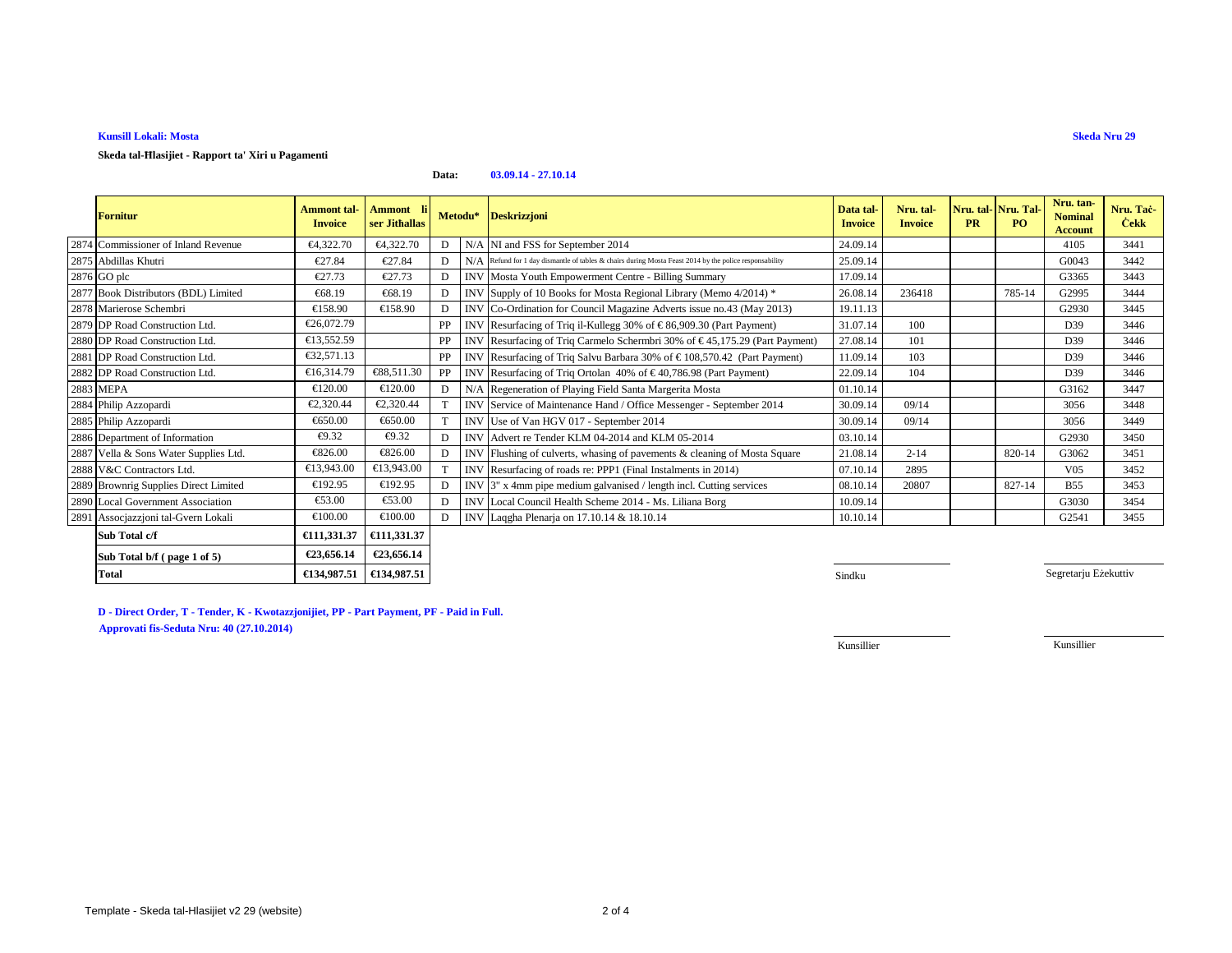# **Kunsill Lokali: Mosta**

**Skeda tal-Ħlasijiet - Rapport ta' Xiri u Pagamenti**

### **Data:03.09.14 - 27.10.14**

| <b>Fornitur</b>                       | <b>Ammont tal-</b><br><b>Invoice</b> | <b>Ammont</b><br>ser Jithallas | Metodu* |            | <b>Deskrizzjoni</b>                                                                                   | Data tal-<br><b>Invoice</b> | Nru. tal-<br><b>Invoice</b> | <b>PR</b> | Nru. tal-Nru. Tal-<br>P <sub>O</sub> | Nru. tan-<br><b>Nominal</b><br><b>Account</b> | Nru. Tac-<br><b>Cekk</b> |
|---------------------------------------|--------------------------------------|--------------------------------|---------|------------|-------------------------------------------------------------------------------------------------------|-----------------------------|-----------------------------|-----------|--------------------------------------|-----------------------------------------------|--------------------------|
| 2874 Commissioner of Inland Revenue   | €4.322.70                            | €4,322.70                      | D       |            | N/A NI and FSS for Sptember 2014                                                                      | 24.09.14                    |                             |           |                                      | 4105                                          | 3441                     |
| 2875 Abdillas Khutri                  | €27.84                               | €27.84                         | D       |            | N/ARefund for 1 day dismantle of tables & chairs during Mosta Feast 2014 by the police responsability | 25.09.14                    |                             |           |                                      | G0043                                         | 3442                     |
| 2876 GO plc                           | €27.73                               | €27.73                         | D       |            | INV Mosta Youth Empowerment Centre - Billing Summay                                                   | 17.09.14                    |                             |           |                                      | G3365                                         | 3443                     |
| 2877 Book Distributors (BDL) Limited  | €68.19                               | €68.19                         | D       |            | INV Supply of 10 Books for Mota Regional Library (Memo 4/2014) *                                      | 26.08.14                    | 236418                      |           | 785-14                               | G2995                                         | 3444                     |
| 2878 Marierose Schembri               | €158.90                              | €158.90                        | D       |            | INV Co-Ordination for Council Magaine Adverts issue no.43 (May 2013)                                  | 19.11.13                    |                             |           |                                      | G2930                                         | 3445                     |
| 2879 DP Road Construction Ltd.        | €26,072.79                           |                                | PP      | <b>INV</b> | Resurfacing of Triq il-Kullegg 30% of € 86,909.30 (Part Payment)                                      | 31.07.14                    | 100                         |           |                                      | D39                                           | 3446                     |
| 2880 DP Road Construction Ltd.        | €13,552.59                           |                                | PP      | <b>INV</b> | Resurfacing of Triq Carmelo Schermbri 30% of €45,175.29 (Pat Payment)                                 | 27.08.14                    | 101                         |           |                                      | D39                                           | 3446                     |
| 2881 DP Road Construction Ltd.        | €32,571.13                           |                                | PP      | <b>INV</b> | Resurfacing of Triq Salvu Barbara 30% of € 108,570.42 (PartPayment)                                   | 11.09.14                    | 103                         |           |                                      | D39                                           | 3446                     |
| 2882 DP Road Construction Ltd.        | €16,314.79                           | €88,511.30                     | PP      |            | INV Resurfacing of Triq Ortolan 40% of $\in$ 40,786.98 (Part Paymen)                                  | 22.09.14                    | 104                         |           |                                      | D39                                           | 3446                     |
| 2883 MEPA                             | €120.00                              | €120.00                        | D       | N/A        | Regeneration of Playing Field Santa Margerita Mosta                                                   | 01.10.14                    |                             |           |                                      | G3162                                         | 3447                     |
| 2884 Philip Azzopardi                 | €2,320.44                            | €2,320.44                      |         |            | INV Service of Maintenance Hand / Office Messenger - September 2014                                   | 30.09.14                    | 09/14                       |           |                                      | 3056                                          | 3448                     |
| 2885 Philip Azzopardi                 | €650.00                              | €650.00                        |         |            | INV Use of Van HGV 017 - September 2014                                                               | 30.09.14                    | 09/14                       |           |                                      | 3056                                          | 3449                     |
| 2886 Department of Information        | €9.32                                | €9.32                          | D       |            | INV Advert re Tender KLM 04-2014 and KLM 05-2014                                                      | 03.10.14                    |                             |           |                                      | G2930                                         | 3450                     |
| 2887 Vella & Sons Water Supplies Ltd. | €826.00                              | €826.00                        | D       |            | INV Flushing of culverts, whasing of pavements & cleaning of Mosta Square                             | 21.08.14                    | $2 - 14$                    |           | 820-14                               | G3062                                         | 3451                     |
| 2888 V&C Contractors Ltd.             | €13,943.00                           | €13,943.00                     |         |            | INV Resurfacing of roads re: PPP1 (Final Instalments in 2014)                                         | 07.10.14                    | 2895                        |           |                                      | V <sub>05</sub>                               | 3452                     |
| 2889 Brownrig Supplies Direct Limited | €192.95                              | €192.95                        | D       |            | INV 3" x 4mm pipe medium galvanised / length incl. Cutting services                                   | 08.10.14                    | 20807                       |           | 827-14                               | <b>B55</b>                                    | 3453                     |
| 2890 Local Government Association     | $\epsilon$ 53.00                     | €53.00                         | D       |            | INV Local Council Health Scheme 2014 - Ms. Liliana Borg                                               | 10.09.14                    |                             |           |                                      | G3030                                         | 3454                     |
| 2891 Assocjazzjoni tal-Gvern Lokali   | €100.00                              | €100.00                        | D       |            | INV Laqgha Plenarja on 17.10.14 & 18.10.14                                                            | 10.10.14                    |                             |           |                                      | G2541                                         | 3455                     |
| Sub Total c/f                         | €111,331.37                          | €111,331.37                    |         |            |                                                                                                       |                             |                             |           |                                      |                                               |                          |
| Sub Total b/f (page 1 of 5)           | €23,656.14                           | €23,656.14                     |         |            |                                                                                                       |                             |                             |           |                                      |                                               |                          |
| <b>Total</b>                          | €134,987.51                          | €134,987.51                    |         |            |                                                                                                       | Sindku                      |                             |           |                                      | Segretarju Eżekuttiv                          |                          |

**1** Sindku and the state of the state of the state of the state of the state of the state of the state of the state of the state of the state of the state of the state of the state of the state of the state of the state of

**D - Direct Order, T - Tender, K - Kwotazzjonijiet, PP - Part Payment, PF - Paid in Full.**

**€134,987.51 €134,987.51**

**Approvati fis-Seduta Nru: 40 (27.10.2014)**

Kunsillier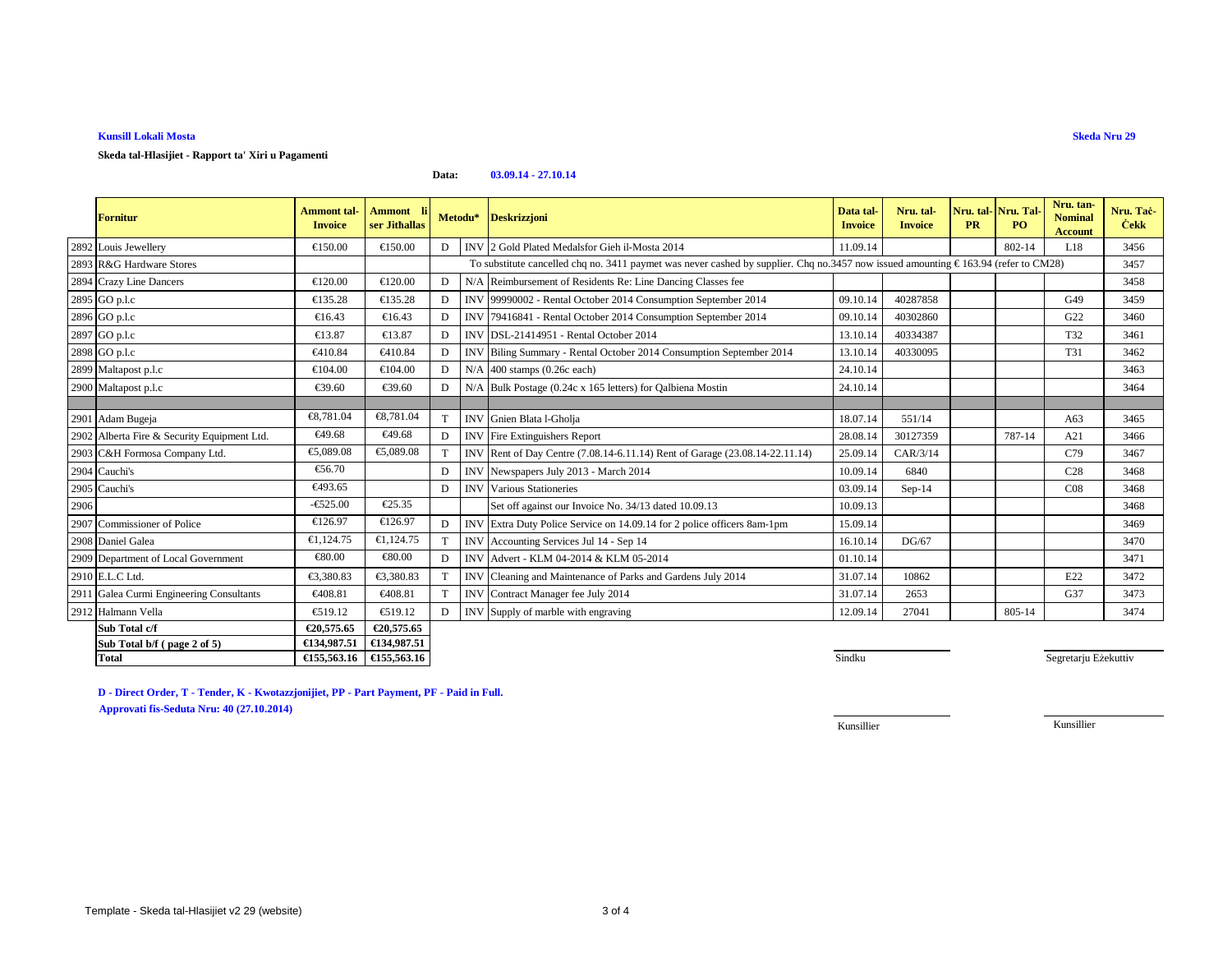## **Kunsill Lokali Mosta**

**Skeda tal-Hlasijiet - Rapport ta' Xiri u Pagamenti**

### **Data:03.09.14 - 27.10.14**

|      | <b>Fornitur</b>                             | <b>Ammont</b> tal-<br><b>Invoice</b> | Ammont li<br>ser Jithallas |    |            | Metodu* Deskrizzjoni                                                                                                                         | Data tal-<br><b>Invoice</b> | Nru. tal-<br><b>Invoice</b> | Nru. tal-<br><b>PR</b> | Nru. Tal-<br>PO. | Nru. tan-<br><b>Nominal</b><br><b>Account</b> | Nru. Tac-<br><b>Cekk</b> |  |  |
|------|---------------------------------------------|--------------------------------------|----------------------------|----|------------|----------------------------------------------------------------------------------------------------------------------------------------------|-----------------------------|-----------------------------|------------------------|------------------|-----------------------------------------------|--------------------------|--|--|
|      | 2892 Louis Jewellery                        | €150.00                              | €150.00                    | D  |            | INV 2 Gold Plated Medalsfor Gieh il-Mota 2014                                                                                                | 11.09.14                    |                             |                        | 802-14           | L18                                           | 3456                     |  |  |
|      | 2893 R&G Hardware Stores                    |                                      |                            |    |            | To substitute cancelled chq no. 3411 paymet was never cashed by supplier. Chq no.3457 now issued amounting $\epsilon$ 163.94 (refer to CM28) |                             |                             |                        |                  |                                               |                          |  |  |
|      | 2894 Crazy Line Dancers                     | €120.00                              | €120.00                    | D  | N/A        | Reimbursement of ResidentsRe: Line Dancing Classes fee                                                                                       |                             |                             |                        |                  |                                               | 3458                     |  |  |
|      | 2895 GO p.l.c                               | €135.28                              | €135.28                    | D  | <b>INV</b> | 99990002 - Rental October 2014 Consumption September 2014                                                                                    | 09.10.1                     | 40287858                    |                        |                  | G49                                           | 3459                     |  |  |
|      | 2896 GO p.l.c                               | €16.43                               | €16.43                     | D  | <b>INV</b> | 79416841 - Rental October 2014 Consumption September 2014                                                                                    | 09.10.1                     | 40302860                    |                        |                  | G22                                           | 3460                     |  |  |
|      | 2897 GO p.l.c                               | €13.87                               | €13.87                     | D  | <b>INV</b> | DSL-21414951 - Rental October 2014                                                                                                           | 13.10.14                    | 40334387                    |                        |                  | T32                                           | 3461                     |  |  |
|      | 2898 GO p.l.c                               | €410.84                              | €410.84                    | D  | <b>IN'</b> | Biling Summary - Rental October 2014 Consumption September 2014                                                                              | 13.10.14                    | 40330095                    |                        |                  | T31                                           | 3462                     |  |  |
|      | 2899 Maltapost p.l.c                        | €104.00                              | €104.00                    | D  | N/A        | 400 stamps (0.26c each)                                                                                                                      | 24.10.14                    |                             |                        |                  |                                               | 3463                     |  |  |
|      | 2900 Maltapost p.l.c                        | €39.60                               | €39.60                     | D  | N/A        | Bulk Postage (0.24c x 165 letters) for Qalbiena Mostin                                                                                       | 24.10.14                    |                             |                        |                  |                                               | 3464                     |  |  |
|      |                                             |                                      |                            |    |            |                                                                                                                                              |                             |                             |                        |                  |                                               |                          |  |  |
|      | 2901 Adam Bugeja                            | €8,781.04                            | €8,781.04                  | T. |            | INV Gnien Blata l-Gholja                                                                                                                     | 18.07.14                    | 551/14                      |                        |                  | A63                                           | 3465                     |  |  |
|      | 2902 Alberta Fire & Security Equipment Ltd. | €49.68                               | €49.68                     | D  |            | <b>INV</b> Fire Extinguishers Report                                                                                                         | 28.08.14                    | 30127359                    |                        | 787-14           | A21                                           | 3466                     |  |  |
|      | 2903 C&H Formosa Company Ltd.               | €5,089.08                            | €5,089.08                  | T  |            | INV Rent of Day Centre (7.08.14-6.11.14) Rent of Garage (23.08.14-22.11.14)                                                                  | 25.09.14                    | CAR/3/14                    |                        |                  | C79                                           | 3467                     |  |  |
|      | 2904 Cauchi's                               | €56.70                               |                            | D  |            | INV Newspapers July 2013 - March 2014                                                                                                        | 10.09.14                    | 6840                        |                        |                  | C <sub>28</sub>                               | 3468                     |  |  |
|      | 2905 Cauchi's                               | €493.65                              |                            | D  |            | <b>INV</b> Various Stationeries                                                                                                              | 03.09.14                    | $Sep-14$                    |                        |                  | CO8                                           | 3468                     |  |  |
| 2906 |                                             | $-6525.00$                           | €25.35                     |    |            | Set off against our Invoice No. 34/13 dated 10.09.13                                                                                         | 10.09.13                    |                             |                        |                  |                                               | 3468                     |  |  |
|      | 2907 Commissioner of Police                 | €126.97                              | €126.97                    | D  |            | INV Extra Duty Police Service on 14.09.14 for 2 police officers 8am-1pm                                                                      | 15.09.14                    |                             |                        |                  |                                               | 3469                     |  |  |
|      | 2908 Daniel Galea                           | €1,124.75                            | €1,124.75                  | T  |            | INV Accounting Services Jul 14 - Sep 14                                                                                                      | 16.10.14                    | DG/67                       |                        |                  |                                               | 3470                     |  |  |
|      | 2909 Department of Local Government         | €80.00                               | €80.00                     | D  |            | INV Advert - KLM 04-2014 & KLM 05-2014                                                                                                       | 01.10.14                    |                             |                        |                  |                                               | 3471                     |  |  |
|      | 2910 E.L.C Ltd.                             | €3,380.83                            | €3,380.83                  |    | <b>INV</b> | Cleaning and Maintenance of Parksand Gardens July 2014                                                                                       | 31.07.14                    | 10862                       |                        |                  | E22                                           | 3472                     |  |  |
|      | 2911 Galea Curmi Engineering Consultants    | €408.81                              | €408.81                    |    | <b>INV</b> | ContractManager fee July 2014                                                                                                                | 31.07.14                    | 2653                        |                        |                  | G37                                           | 3473                     |  |  |
|      | 2912 Halmann Vella                          | €519.12                              | €519.12                    | D  | <b>INV</b> | Supply of marble with engraving                                                                                                              | 12.09.14                    | 27041                       |                        | 805-14           |                                               | 3474                     |  |  |
|      | Sub Total c/f                               | €20,575.65                           | €20,575.65                 |    |            |                                                                                                                                              |                             |                             |                        |                  |                                               |                          |  |  |
|      | Sub Total b/f (page 2 of 5)                 | €134,987.51                          | €134,987.51                |    |            |                                                                                                                                              |                             |                             |                        |                  |                                               |                          |  |  |
|      | <b>Total</b>                                | €155,563.16                          | €155,563.16                |    |            |                                                                                                                                              | Sindku                      |                             |                        |                  | Segretarju Eżekuttiv                          |                          |  |  |

**D - Direct Order, T - Tender, K - Kwotazzjonijiet, PP - Part Payment, PF - Paid in Full.Approvati fis-Seduta Nru: 40 (27.10.2014)**

Kunsillier